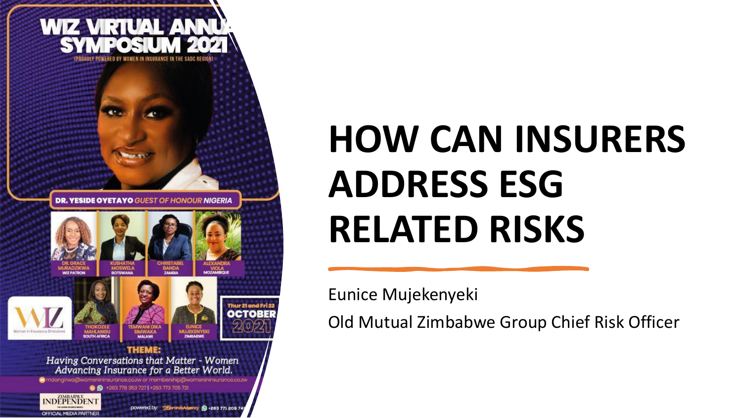

# **HOW CAN INSURERS ADDRESS ESG RELATED RISKS**

Eunice Mujekenyeki

Old Mutual Zimbabwe Group Chief Risk Officer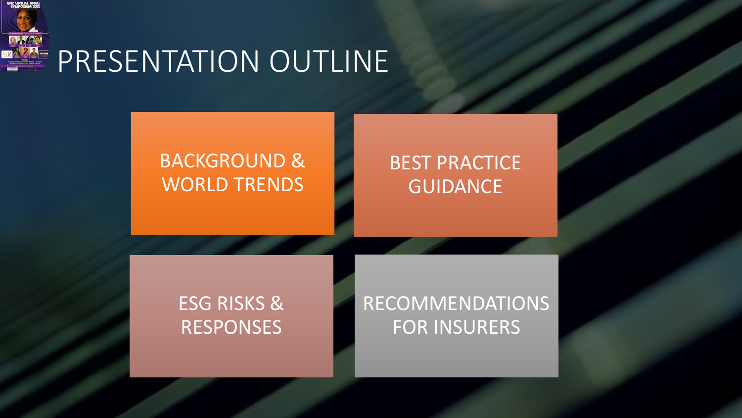

### PRESENTATION OUTLINE

#### BACKGROUND & WORLD TRENDS

#### BEST PRACTICE GUIDANCE

#### ESG RISKS & RESPONSES

#### RECOMMENDATIONS FOR INSURERS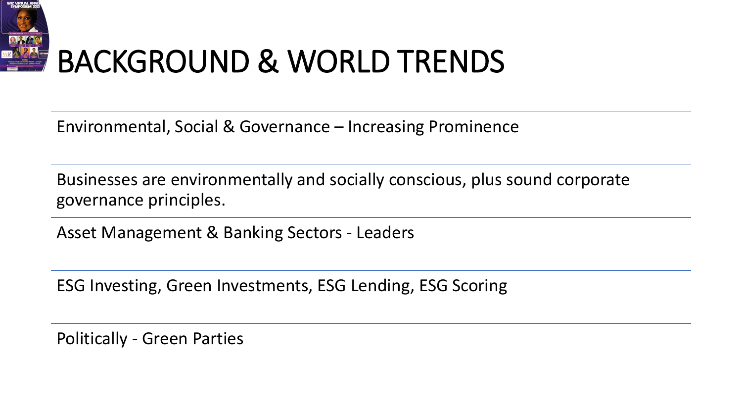

## BACKGROUND & WORLD TRENDS

Environmental, Social & Governance – Increasing Prominence

Businesses are environmentally and socially conscious, plus sound corporate governance principles.

Asset Management & Banking Sectors - Leaders

ESG Investing, Green Investments, ESG Lending, ESG Scoring

Politically - Green Parties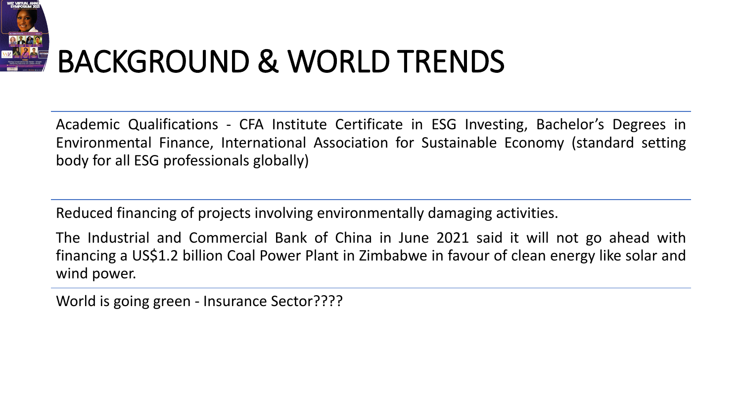

## BACKGROUND & WORLD TRENDS

Academic Qualifications - CFA Institute Certificate in ESG Investing, Bachelor's Degrees in Environmental Finance, International Association for Sustainable Economy (standard setting body for all ESG professionals globally)

Reduced financing of projects involving environmentally damaging activities.

The Industrial and Commercial Bank of China in June 2021 said it will not go ahead with financing a US\$1.2 billion Coal Power Plant in Zimbabwe in favour of clean energy like solar and wind power.

World is going green - Insurance Sector????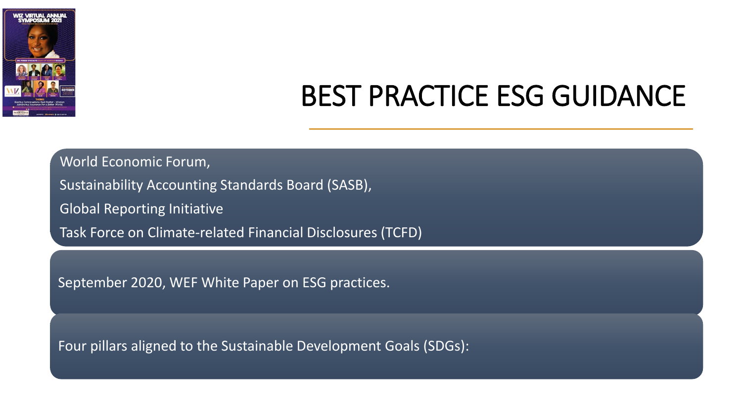

### BEST PRACTICE ESG GUIDANCE

World Economic Forum,

Sustainability Accounting Standards Board (SASB),

Global Reporting Initiative

Task Force on Climate-related Financial Disclosures (TCFD)

September 2020, WEF White Paper on ESG practices.

Four pillars aligned to the Sustainable Development Goals (SDGs):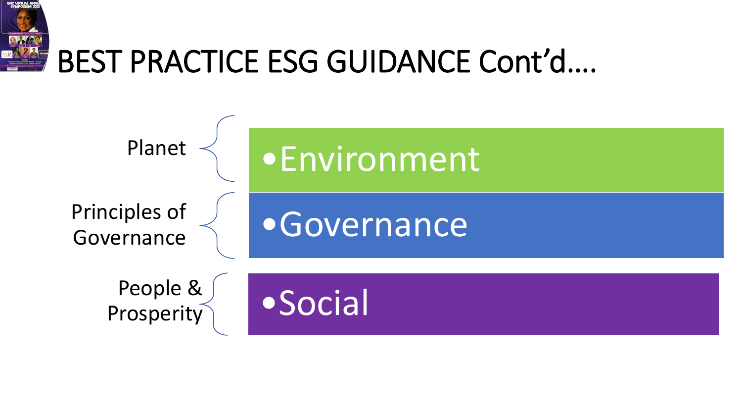

## BEST PRACTICE ESG GUIDANCE Cont'd….

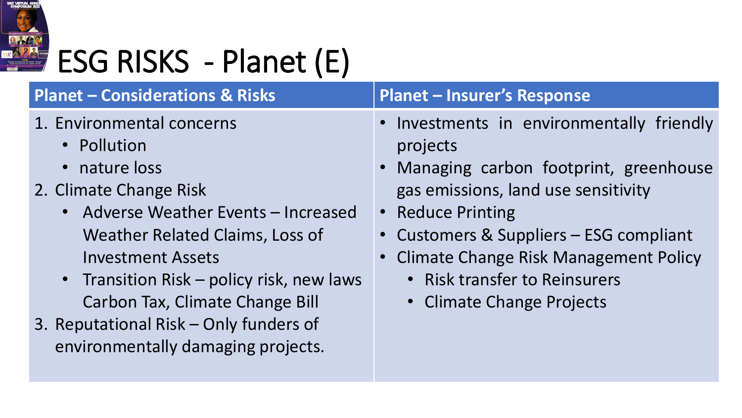

# ESG RISKS - Planet (E)

#### **Planet – Considerations & Risks Planet – Insurer's Response**

- 1. Environmental concerns
	- Pollution
	- nature loss
- 2. Climate Change Risk
	- Adverse Weather Events Increased Weather Related Claims, Loss of Investment Assets
	- Transition Risk policy risk, new laws Carbon Tax, Climate Change Bill
- 3. Reputational Risk Only funders of environmentally damaging projects.

- Investments in environmentally friendly projects
- Managing carbon footprint, greenhouse gas emissions, land use sensitivity
- Reduce Printing
- Customers & Suppliers ESG compliant
- Climate Change Risk Management Policy
	- Risk transfer to Reinsurers
	- Climate Change Projects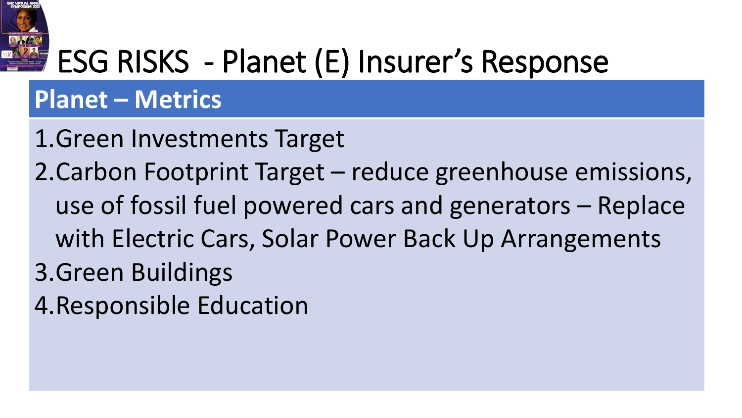

## ESG RISKS - Planet (E) Insurer's Response

#### **Planet – Metrics**

1.Green Investments Target 2.Carbon Footprint Target – reduce greenhouse emissions, use of fossil fuel powered cars and generators – Replace with Electric Cars, Solar Power Back Up Arrangements 3.Green Buildings 4.Responsible Education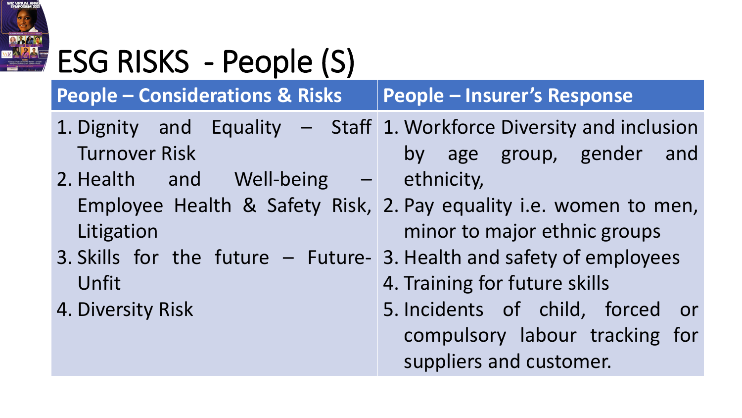

# ESG RISKS - People (S)

**People – Considerations & Risks People – Insurer's Response**

- 1. Dignity and Equality Staff 1. Workforce Diversity and inclusion Turnover Risk by age group, gender and
- 2. Health and Well-being ethnicity, Litigation
- 3. Skills for the future Future-3. Health and safety of employees Unfit
- 4. Diversity Risk
- Employee Health & Safety Risk, 2. Pay equality i.e. women to men, minor to major ethnic groups
	-
	- 4. Training for future skills
	- 5. Incidents of child, forced or compulsory labour tracking for suppliers and customer.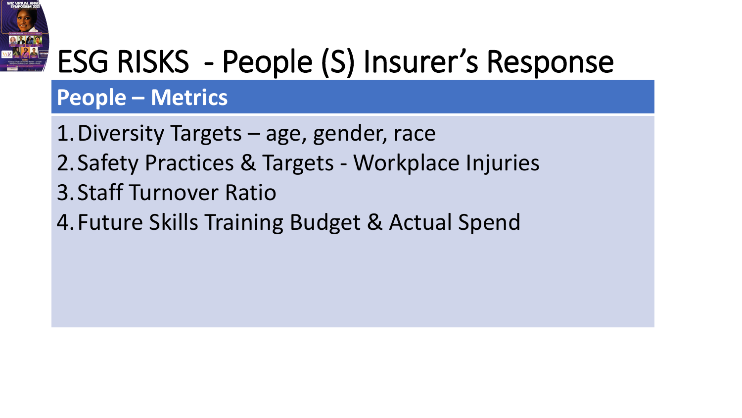

## ESG RISKS - People (S) Insurer's Response

#### **People – Metrics**

1.Diversity Targets – age, gender, race 2.Safety Practices & Targets - Workplace Injuries 3.Staff Turnover Ratio 4.Future Skills Training Budget & Actual Spend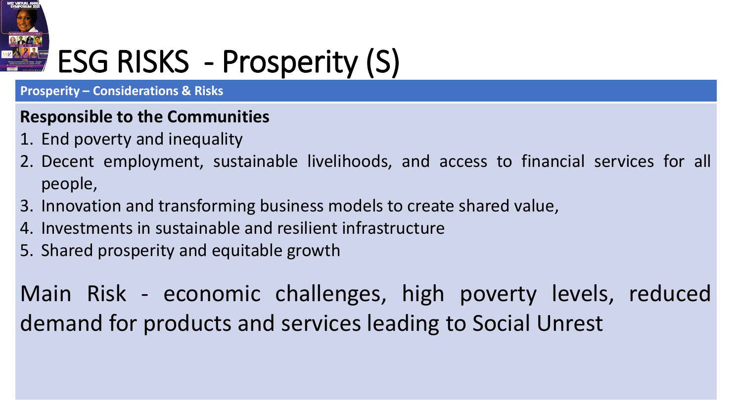

## ESG RISKS - Prosperity (S)

**Prosperity – Considerations & Risks** 

#### **Responsible to the Communities**

- 1. End poverty and inequality
- 2. Decent employment, sustainable livelihoods, and access to financial services for all people,
- 3. Innovation and transforming business models to create shared value,
- 4. Investments in sustainable and resilient infrastructure
- 5. Shared prosperity and equitable growth

Main Risk - economic challenges, high poverty levels, reduced demand for products and services leading to Social Unrest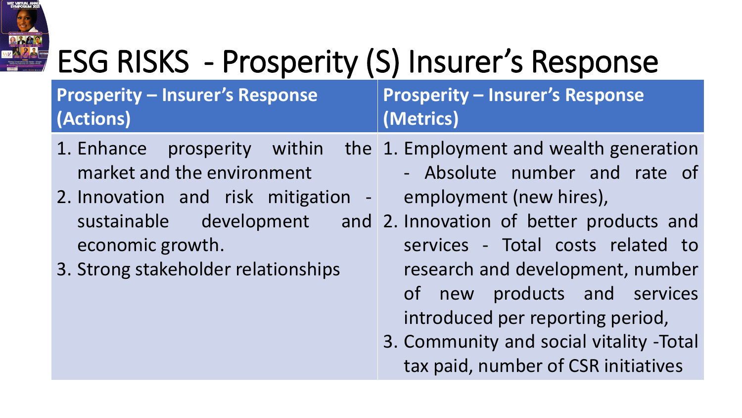

# ESG RISKS - Prosperity (S) Insurer's Response

**Prosperity – Insurer's Response (Actions)**

**Prosperity – Insurer's Response (Metrics)**

- 1. Enhance prosperity within market and the environment 1. Employment and wealth generation
- 2. Innovation and risk mitigation sustainable development economic growth.
- 3. Strong stakeholder relationships
- Absolute number and rate of employment (new hires),
- 2. Innovation of better products and services - Total costs related to research and development, number of new products and services introduced per reporting period,
	- 3. Community and social vitality -Total tax paid, number of CSR initiatives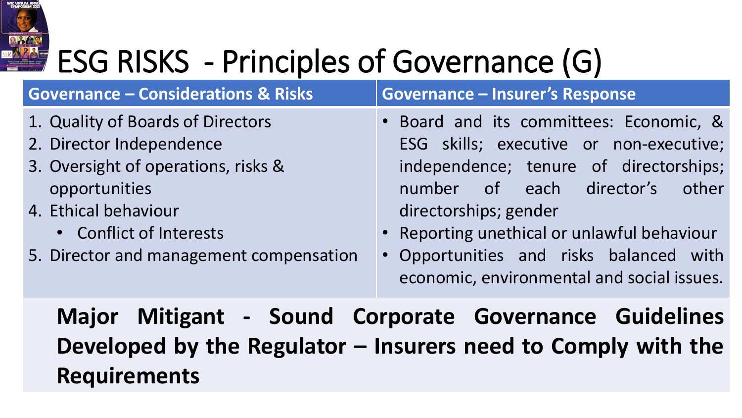

# **ESG RISKS** - Principles of Governance (G)

| <b>Governance - Considerations &amp; Risks</b>                                                                                                                                                                      | <b>Governance - Insurer's Response</b>                                                                                                                                                                                                                                                                                                 |
|---------------------------------------------------------------------------------------------------------------------------------------------------------------------------------------------------------------------|----------------------------------------------------------------------------------------------------------------------------------------------------------------------------------------------------------------------------------------------------------------------------------------------------------------------------------------|
| 1. Quality of Boards of Directors<br>2. Director Independence<br>3. Oversight of operations, risks &<br>opportunities<br>4. Ethical behaviour<br>• Conflict of Interests<br>5. Director and management compensation | • Board and its committees: Economic, &<br>ESG skills; executive or non-executive;<br>independence; tenure of directorships;<br>of each director's<br>other<br>number<br>directorships; gender<br>• Reporting unethical or unlawful behaviour<br>• Opportunities and risks balanced with<br>economic, environmental and social issues. |
| Major Mitigant - Sound Corporate Governance Guidelines<br>Developed by the Regulator - Insurers need to Comply with the<br><b>Requirements</b>                                                                      |                                                                                                                                                                                                                                                                                                                                        |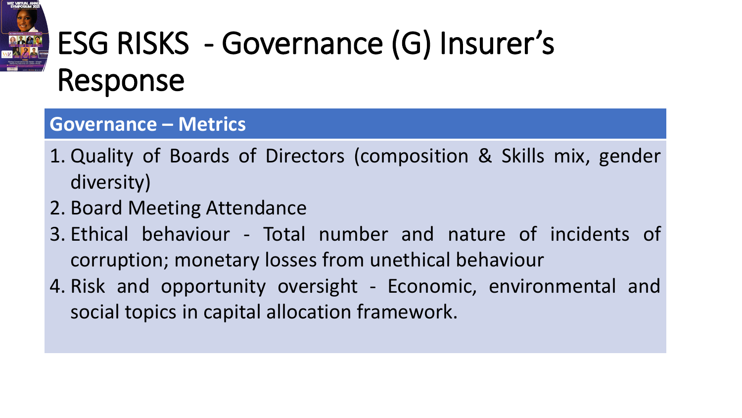

## ESG RISKS - Governance (G) Insurer's Response

#### **Governance – Metrics**

- 1. Quality of Boards of Directors (composition & Skills mix, gender diversity)
- 2. Board Meeting Attendance
- 3. Ethical behaviour Total number and nature of incidents of corruption; monetary losses from unethical behaviour
- 4. Risk and opportunity oversight Economic, environmental and social topics in capital allocation framework.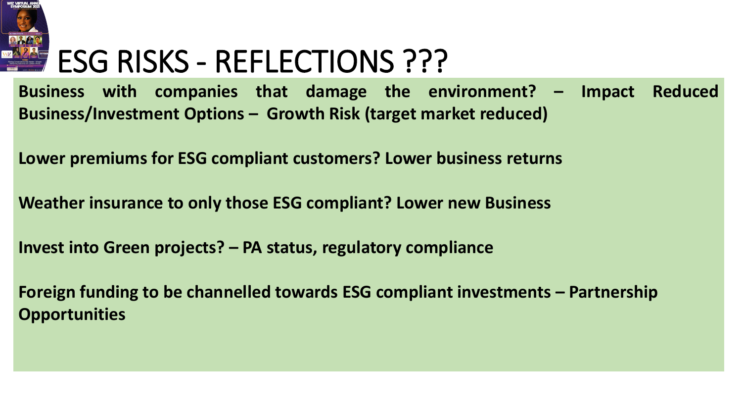

## ESG RISKS - REFLECTIONS ???

**Business with companies that damage the environment? – Impact Reduced Business/Investment Options – Growth Risk (target market reduced)**

**Lower premiums for ESG compliant customers? Lower business returns**

**Weather insurance to only those ESG compliant? Lower new Business**

**Invest into Green projects? – PA status, regulatory compliance**

**Foreign funding to be channelled towards ESG compliant investments – Partnership Opportunities**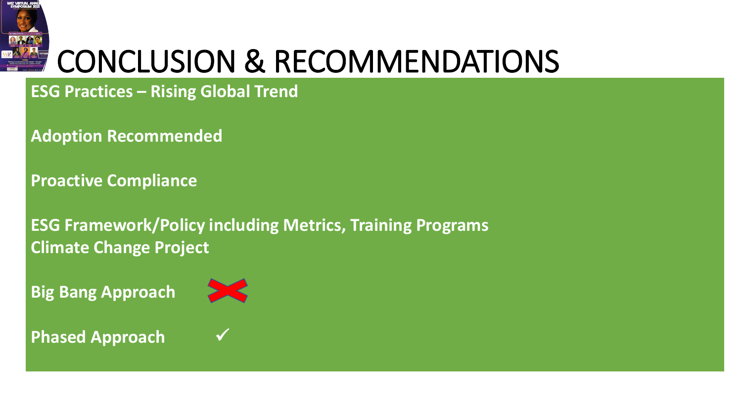

## CONCLUSION & RECOMMENDATIONS

#### **ESG Practices – Rising Global Trend**

**Adoption Recommended**

**Proactive Compliance**

**ESG Framework/Policy including Metrics, Training Programs Climate Change Project**

**Big Bang Approach**



**Phased Approach**